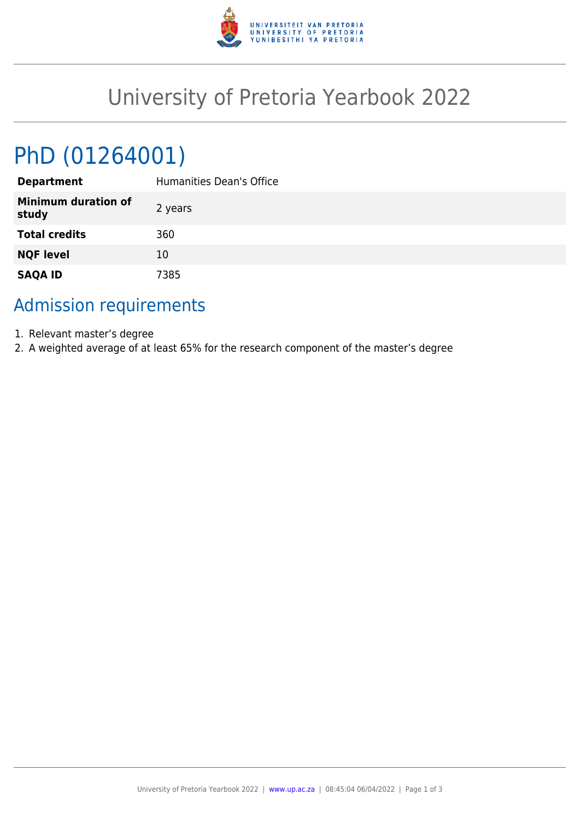

## University of Pretoria Yearbook 2022

# PhD (01264001)

| <b>Department</b>                   | Humanities Dean's Office |
|-------------------------------------|--------------------------|
| <b>Minimum duration of</b><br>study | 2 years                  |
| <b>Total credits</b>                | 360                      |
| <b>NQF level</b>                    | 10                       |
| <b>SAQA ID</b>                      | 7385                     |

### Admission requirements

- 1. Relevant master's degree
- 2. A weighted average of at least 65% for the research component of the master's degree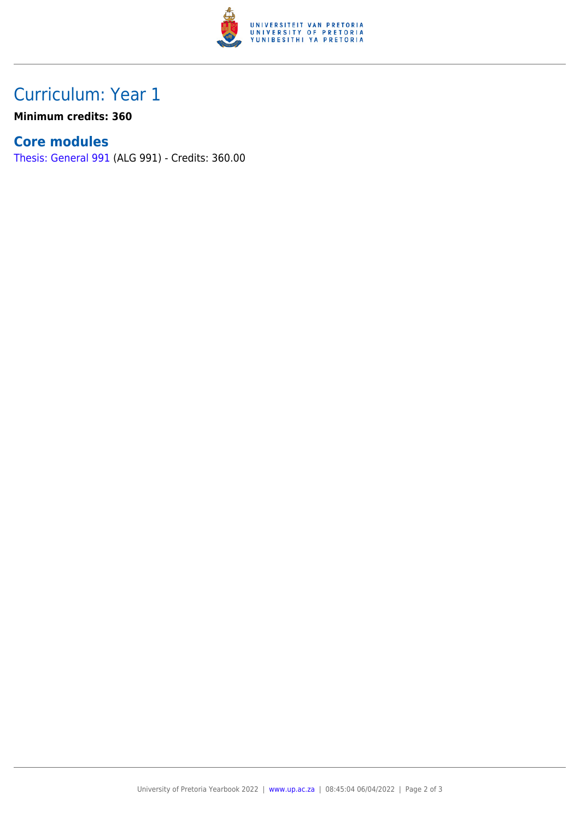

## Curriculum: Year 1

**Minimum credits: 360**

#### **Core modules**

[Thesis: General 991](https://www.up.ac.za/faculty-of-education/yearbooks/2022/modules/view/ALG 991) (ALG 991) - Credits: 360.00